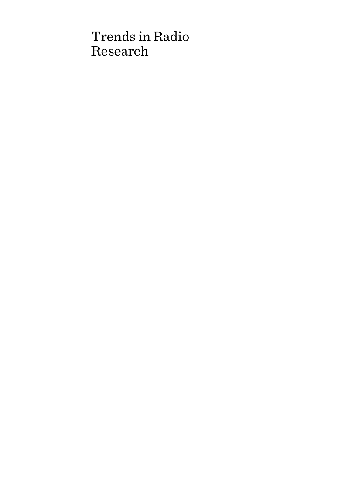# Trends in Radio Research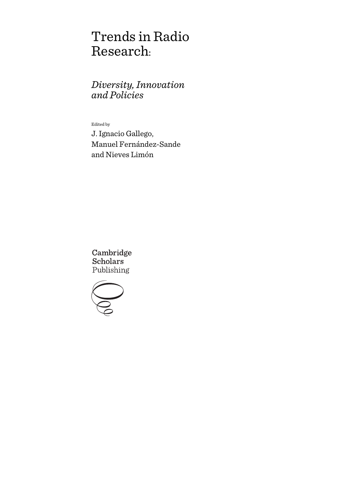# Trends in Radio Research:

# *Diversity, Innovation and Policies*

Edited by

J. Ignacio Gallego, Manuel Fernández-Sande and Nieves Limón

Cambridge **Scholars** Publishing

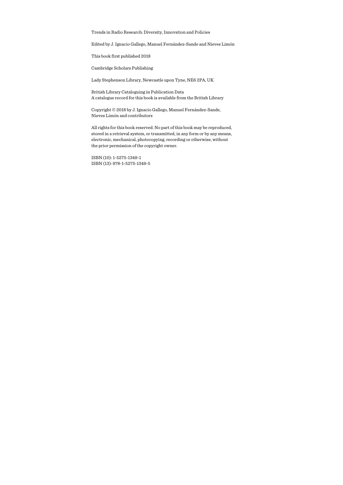Trends in Radio Research: Diversity, Innovation and Policies

Edited by J. Ignacio Gallego, Manuel Fernández-Sande and Nieves Limón

This book first published 2018

Cambridge Scholars Publishing

Lady Stephenson Library, Newcastle upon Tyne, NE6 2PA, UK

British Library Cataloguing in Publication Data A catalogue record for this book is available from the British Library

Copyright © 2018 by J. Ignacio Gallego, Manuel Fernández-Sande, Nieves Limón and contributors

All rights for this book reserved. No part of this book may be reproduced, stored in a retrieval system, or transmitted, in any form or by any means, electronic, mechanical, photocopying, recording or otherwise, without the prior permission of the copyright owner.

ISBN (10): 1-5275-1349-1 ISBN (13): 978-1-5275-1349-5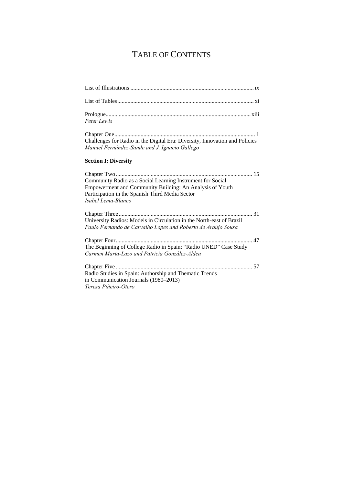# TABLE OF CONTENTS

| Peter Lewis                                                                                                                                                                                     |
|-------------------------------------------------------------------------------------------------------------------------------------------------------------------------------------------------|
| Challenges for Radio in the Digital Era: Diversity, Innovation and Policies<br>Manuel Fernández-Sande and J. Ignacio Gallego                                                                    |
| <b>Section I: Diversity</b>                                                                                                                                                                     |
| Community Radio as a Social Learning Instrument for Social<br>Empowerment and Community Building: An Analysis of Youth<br>Participation in the Spanish Third Media Sector<br>Isabel Lema-Blanco |
|                                                                                                                                                                                                 |
| University Radios: Models in Circulation in the North-east of Brazil<br>Paulo Fernando de Carvalho Lopes and Roberto de Araújo Sousa                                                            |
| The Beginning of College Radio in Spain: "Radio UNED" Case Study<br>Carmen Marta-Lazo and Patricia González-Aldea                                                                               |
| Radio Studies in Spain: Authorship and Thematic Trends<br>in Communication Journals (1980–2013)<br>Teresa Piñeiro-Otero                                                                         |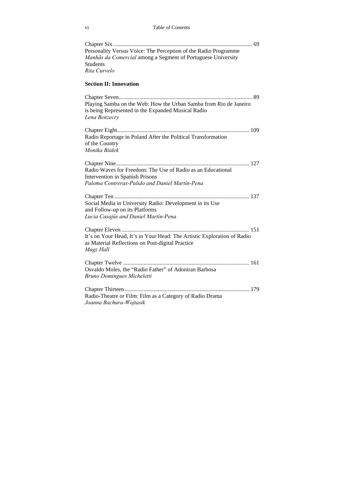| Personality Versus Voice: The Perception of the Radio Programme<br>Manhãs da Comercial among a Segment of Portuguese University<br><b>Students</b><br>Rita Curvelo |
|--------------------------------------------------------------------------------------------------------------------------------------------------------------------|
|                                                                                                                                                                    |
| <b>Section II: Innovation</b>                                                                                                                                      |
| Playing Samba on the Web: How the Urban Samba from Rio de Janeiro<br>is being Represented in the Expanded Musical Radio<br>Lena Benzecry                           |
| Radio Reportage in Poland After the Political Transformation<br>of the Country<br>Monika Białek                                                                    |
| Radio Waves for Freedom: The Use of Radio as an Educational<br><b>Intervention in Spanish Prisons</b><br>Paloma Contreras-Pulido and Daniel Martín-Pena            |
| Social Media in University Radio: Development in its Use<br>and Follow-up on its Platforms<br>Lucia Casajús and Daniel Martín-Pena                                 |
| It's on Your Head, It's in Your Head: The Artistic Exploration of Radio<br>as Material Reflections on Post-digital Practice<br>Magz Hall                           |
| Osvaldo Moles, the "Radio Father" of Adoniran Barbosa<br>Bruno Domingues Micheletti                                                                                |
| Radio-Theatre or Film: Film as a Category of Radio Drama<br>Joanna Bachura-Wojtasik                                                                                |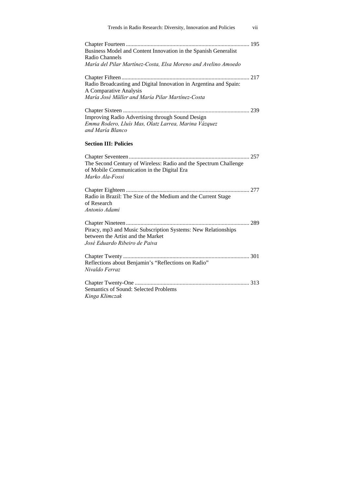| Trends in Radio Research: Diversity, Innovation and Policies<br>vii                                                                                 |
|-----------------------------------------------------------------------------------------------------------------------------------------------------|
| Business Model and Content Innovation in the Spanish Generalist<br>Radio Channels<br>María del Pilar Martínez-Costa, Elsa Moreno and Avelino Amoedo |
| Radio Broadcasting and Digital Innovation in Argentina and Spain:<br>A Comparative Analysis<br>María José Müller and María Pilar Martínez-Costa     |
| <b>Improving Radio Advertising through Sound Design</b><br>Emma Rodero, Lluís Mas, Olatz Larrea, Marina Vázquez<br>and María Blanco                 |
| <b>Section III: Policies</b>                                                                                                                        |
| The Second Century of Wireless: Radio and the Spectrum Challenge<br>of Mobile Communication in the Digital Era<br>Marko Ala-Fossi                   |
| Radio in Brazil: The Size of the Medium and the Current Stage<br>of Research<br>Antonio Adami                                                       |
| Piracy, mp3 and Music Subscription Systems: New Relationships<br>between the Artist and the Market<br>José Eduardo Ribeiro de Paiva                 |
| Reflections about Benjamin's "Reflections on Radio"<br>Nivaldo Ferraz                                                                               |
| Semantics of Sound: Selected Problems<br>Kinga Klimczak                                                                                             |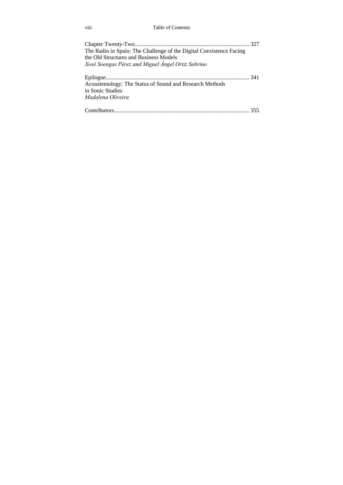viii Table of Contents

| The Radio in Spain: The Challenge of the Digital Coexistence Facing |  |
|---------------------------------------------------------------------|--|
| the Old Structures and Business Models                              |  |
| Xosé Soengas Pérez and Miguel Ángel Ortiz Sobrino                   |  |
|                                                                     |  |
| Acoustemology: The Status of Sound and Research Methods             |  |
| in Sonic Studies                                                    |  |
| Madalena Oliveira                                                   |  |
|                                                                     |  |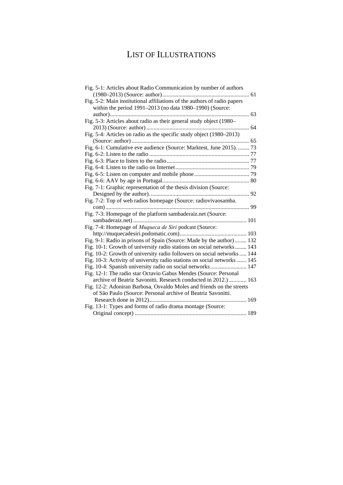# LIST OF ILLUSTRATIONS

| Fig. 5-1: Articles about Radio Communication by number of authors        |
|--------------------------------------------------------------------------|
|                                                                          |
| Fig. 5-2: Main institutional affiliations of the authors of radio papers |
| within the period 1991-2013 (no data 1980-1990) (Source:                 |
| 63                                                                       |
| Fig. 5-3: Articles about radio as their general study object (1980-      |
|                                                                          |
| Fig. 5-4: Articles on radio as the specific study object (1980-2013)     |
|                                                                          |
| Fig. 6-1: Cumulative eve audience (Source: Marktest, June 2015).  73     |
|                                                                          |
|                                                                          |
|                                                                          |
|                                                                          |
|                                                                          |
| Fig. 7-1: Graphic representation of the thesis division (Source:         |
|                                                                          |
| Fig. 7-2: Top of web radios homepage (Source: radiovivaosamba.           |
|                                                                          |
| Fig. 7-3: Homepage of the platform sambaderaiz.net (Source:              |
|                                                                          |
| Fig. 7-4: Homepage of Muqueca de Siri podcast (Source:                   |
|                                                                          |
| Fig. 9-1: Radio in prisons of Spain (Source: Made by the author)  132    |
| Fig. 10-1: Growth of university radio stations on social networks 143    |
| Fig. 10-2: Growth of university radio followers on social networks 144   |
| Fig. 10-3: Activity of university radio stations on social networks  145 |
| Fig. 10-4: Spanish university radio on social networks 147               |
| Fig. 12-1: The radio star Octavio Gabus Mendes (Source: Personal         |
| archive of Beatriz Savonitti. Research conducted in 2012.)  163          |
| Fig. 12-2: Adoniran Barbosa, Osvaldo Moles and friends on the streets    |
| of São Paulo (Source: Personal archive of Beatriz Savonitti.             |
|                                                                          |
| Fig. 13-1: Types and forms of radio drama montage (Source:               |
|                                                                          |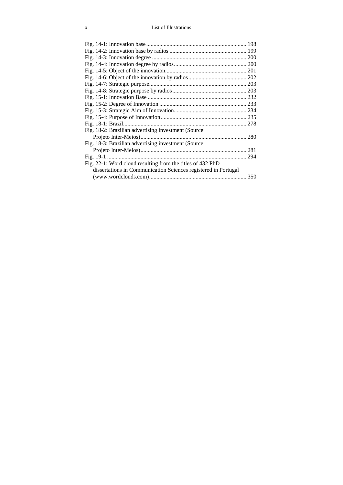### x List of Illustrations

| Fig. 18-2: Brazilian advertising investment (Source:           |     |
|----------------------------------------------------------------|-----|
|                                                                |     |
| Fig. 18-3: Brazilian advertising investment (Source:           |     |
|                                                                |     |
|                                                                | 294 |
| Fig. 22-1: Word cloud resulting from the titles of 432 PhD     |     |
| dissertations in Communication Sciences registered in Portugal |     |
|                                                                |     |
|                                                                |     |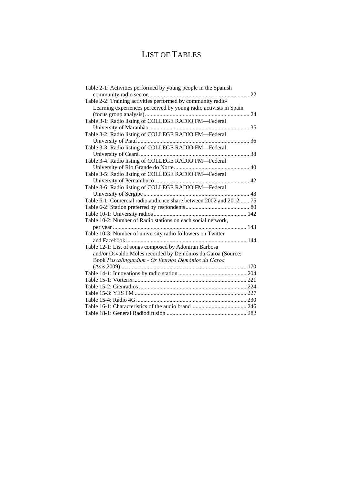# LIST OF TABLES

| Table 2-1: Activities performed by young people in the Spanish     |
|--------------------------------------------------------------------|
|                                                                    |
| Table 2-2: Training activities performed by community radio/       |
| Learning experiences perceived by young radio activists in Spain   |
|                                                                    |
| Table 3-1: Radio listing of COLLEGE RADIO FM-Federal               |
|                                                                    |
| Table 3-2: Radio listing of COLLEGE RADIO FM-Federal               |
|                                                                    |
| Table 3-3: Radio listing of COLLEGE RADIO FM-Federal               |
|                                                                    |
| Table 3-4: Radio listing of COLLEGE RADIO FM-Federal               |
|                                                                    |
| Table 3-5: Radio listing of COLLEGE RADIO FM-Federal               |
|                                                                    |
| Table 3-6: Radio listing of COLLEGE RADIO FM-Federal               |
|                                                                    |
| Table 6-1: Comercial radio audience share between 2002 and 2012 75 |
|                                                                    |
|                                                                    |
| Table 10-2: Number of Radio stations on each social network,       |
|                                                                    |
| Table 10-3: Number of university radio followers on Twitter        |
|                                                                    |
| Table 12-1: List of songs composed by Adoniran Barbosa             |
| and/or Osvaldo Moles recorded by Demônios da Garoa (Source:        |
| Book Pascalingundum - Os Eternos Demônios da Garoa                 |
|                                                                    |
|                                                                    |
|                                                                    |
|                                                                    |
|                                                                    |
|                                                                    |
|                                                                    |
|                                                                    |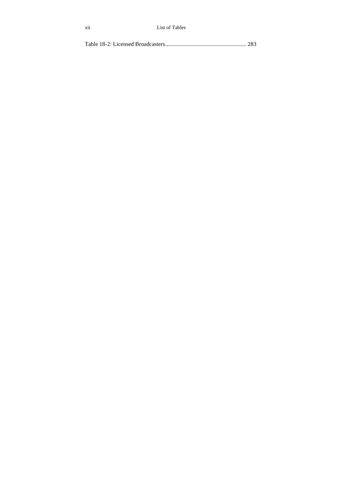|--|--|--|--|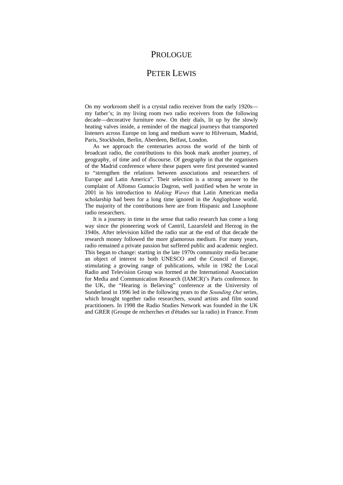### PROLOGUE

### PETER LEWIS

On my workroom shelf is a crystal radio receiver from the early 1920s my father's; in my living room two radio receivers from the following decade—decorative furniture now. On their dials, lit up by the slowly heating valves inside, a reminder of the magical journeys that transported listeners across Europe on long and medium wave to Hilversum, Madrid, Paris, Stockholm, Berlin, Aberdeen, Belfast, London.

As we approach the centenaries across the world of the birth of broadcast radio, the contributions to this book mark another journey, of geography, of time and of discourse. Of geography in that the organisers of the Madrid conference where these papers were first presented wanted to "strengthen the relations between associations and researchers of Europe and Latin America". Their selection is a strong answer to the complaint of Alfonso Gumucio Dagron, well justified when he wrote in 2001 in his introduction to *Making Waves* that Latin American media scholarship had been for a long time ignored in the Anglophone world. The majority of the contributions here are from Hispanic and Lusophone radio researchers.

It is a journey in time in the sense that radio research has come a long way since the pioneering work of Cantril, Lazarsfeld and Herzog in the 1940s. After television killed the radio star at the end of that decade the research money followed the more glamorous medium. For many years, radio remained a private passion but suffered public and academic neglect. This began to change: starting in the late 1970s community media became an object of interest to both UNESCO and the Council of Europe, stimulating a growing range of publications, while in 1982 the Local Radio and Television Group was formed at the International Association for Media and Communication Research (IAMCR)'s Paris conference. In the UK, the "Hearing is Believing" conference at the University of Sunderland in 1996 led in the following years to the *Sounding Out* series, which brought together radio researchers, sound artists and film sound practitioners. In 1998 the Radio Studies Network was founded in the UK and GRER (Groupe de recherches et d'études sur la radio) in France. From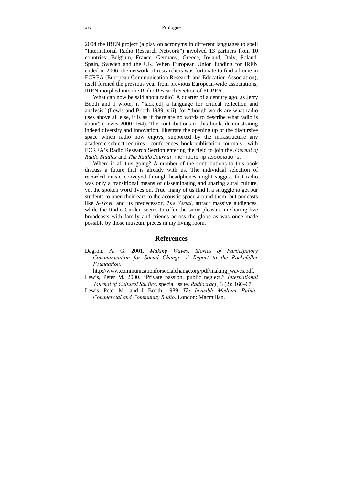#### xiv Prologue

2004 the IREN project (a play on acronyms in different languages to spell "International Radio Research Network") involved 13 partners from 10 countries: Belgium, France, Germany, Greece, Ireland, Italy, Poland, Spain, Sweden and the UK. When European Union funding for IREN ended in 2006, the network of researchers was fortunate to find a home in ECREA (European Communication Research and Education Association), itself formed the previous year from previous European-wide associations; IREN morphed into the Radio Research Section of ECREA.

What can now be said about radio? A quarter of a century ago, as Jerry Booth and I wrote, it "lack[ed] a language for critical reflection and analysis" (Lewis and Booth 1989, xiii), for "though words are what radio uses above all else, it is as if there are no words to describe what radio is about" (Lewis 2000, 164). The contributions to this book, demonstrating indeed diversity and innovation, illustrate the opening up of the discursive space which radio now enjoys, supported by the infrastructure any academic subject requires—conferences, book publication, journals—with ECREA's Radio Research Section entering the field to join the *Journal of Radio Studies* and *The Radio Journal*, membership associations.

Where is all this going? A number of the contributions to this book discuss a future that is already with us. The individual selection of recorded music conveyed through headphones might suggest that radio was only a transitional means of disseminating and sharing aural culture, yet the spoken word lives on. True, many of us find it a struggle to get our students to open their ears to the acoustic space around them, but podcasts like *S-Town* and its predecessor, *The Serial*, attract massive audiences, while the Radio Garden seems to offer the same pleasure in sharing live broadcasts with family and friends across the globe as was once made possible by those museum pieces in my living room.

#### **References**

Dagron, A. G. 2001. *Making Waves: Stories of Participatory Communication for Social Change*. *A Report to the Rockefeller Foundation*.

http://www.communicationforsocialchange.org/pdf/making\_waves.pdf.

- Lewis, Peter M. 2000. "Private passion, public neglect." *International Journal of Cultural Studies*, special issue, *Radiocracy*, 3 (2): 160–67.
- Lewis, Peter M., and J. Booth. 1989. *The Invisible Medium: Public, Commercial and Community Radio*. London: Macmillan.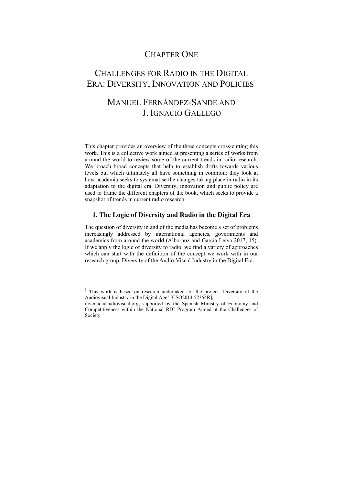## CHAPTER ONE

## CHALLENGES FOR RADIO IN THE DIGITAL ERA: DIVERSITY, INNOVATION AND POLICIES<sup>1</sup>

# MANUEL FERNÁNDEZ-SANDE AND J. IGNACIO GALLEGO

This chapter provides an overview of the three concepts cross-cutting this work. This is a collective work aimed at presenting a series of works from around the world to review some of the current trends in radio research. We broach broad concepts that help to establish drifts towards various levels but which ultimately all have something in common: they look at how academia seeks to systematise the changes taking place in radio in its adaptation to the digital era. Diversity, innovation and public policy are used to frame the different chapters of the book, which seeks to provide a snapshot of trends in current radio research.

### **1. The Logic of Diversity and Radio in the Digital Era**

The question of diversity in and of the media has become a set of problems increasingly addressed by international agencies, governments and academics from around the world (Albornoz and García Leiva 2017, 15). If we apply the logic of diversity to radio, we find a variety of approaches which can start with the definition of the concept we work with in our research group, Diversity of the Audio-Visual Industry in the Digital Era.

l

<sup>&</sup>lt;sup>1</sup> This work is based on research undertaken for the project 'Diversity of the Audiovisual Industry in the Digital Age' [CSO2014 52354R],

diversidadaudiovisual.org, supported by the Spanish Ministry of Economy and Competitiveness within the National RDI Program Aimed at the Challenges of Society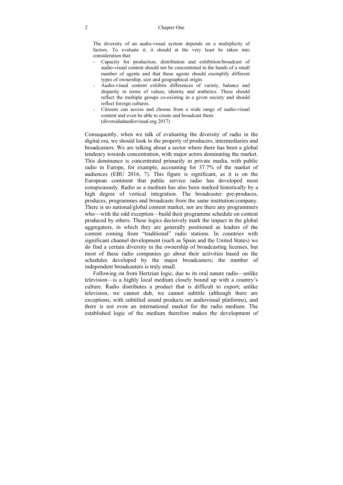The diversity of an audio-visual system depends on a multiplicity of factors. To evaluate it, it should at the very least be taken into consideration that:

- Capacity for production, distribution and exhibition/broadcast of audio-visual content should not be concentrated in the hands of a small number of agents and that these agents should exemplify different types of ownership, size and geographical origin.
- Audio-visual content exhibits differences of variety, balance and disparity in terms of values, identity and æsthetics. These should reflect the multiple groups co-existing in a given society and should reflect foreign cultures.
- Citizens can access and choose from a wide range of audio-visual content and even be able to create and broadcast them. (diversidadaudiovisual.org 2017)

Consequently, when we talk of evaluating the diversity of radio in the digital era, we should look to the property of producers, intermediaries and broadcasters. We are talking about a sector where there has been a global tendency towards concentration, with major actors dominating the market. This dominance is concentrated primarily in private media, with public radio in Europe, for example, accounting for 37.7% of the market of audiences (EBU 2016, 7). This figure is significant, as it is on the European continent that public service radio has developed most conspicuously. Radio as a medium has also been marked historically by a high degree of vertical integration. The broadcaster pre-produces, produces, programmes and broadcasts from the same institution/company. There is no national/global content market, nor are there any programmers who—with the odd exception—build their programme schedule on content produced by others. These logics decisively mark the impact in the global aggregators, in which they are generally positioned as leaders of the content coming from "traditional" radio stations. In countries with significant channel development (such as Spain and the United States) we do find a certain diversity in the ownership of broadcasting licenses, but most of these radio companies go about their activities based on the schedules developed by the major broadcasters; the number of independent broadcasters is truly small.

Following on from Hertzian logic, due to its oral nature radio—unlike television—is a highly local medium closely bound up with a country's culture. Radio distributes a product that is difficult to export; unlike television, we cannot dub, we cannot subtitle (although there are exceptions, with subtitled sound products on audiovisual platforms), and there is not even an international market for the radio medium. The established logic of the medium therefore makes the development of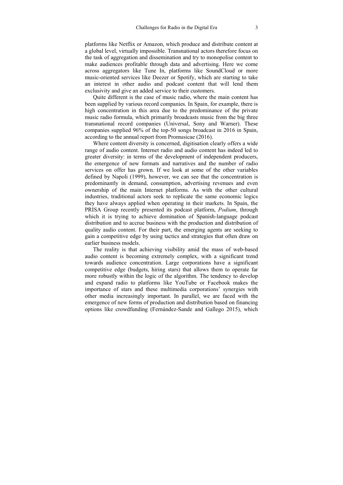platforms like Netflix or Amazon, which produce and distribute content at a global level, virtually impossible. Transnational actors therefore focus on the task of aggregation and dissemination and try to monopolise content to make audiences profitable through data and advertising. Here we come across aggregators like Tune In, platforms like SoundCloud or more music-oriented services like Deezer or Spotify, which are starting to take an interest in other audio and podcast content that will lend them exclusivity and give an added service to their customers.

Quite different is the case of music radio, where the main content has been supplied by various record companies. In Spain, for example, there is high concentration in this area due to the predominance of the private music radio formula, which primarily broadcasts music from the big three transnational record companies (Universal, Sony and Warner). These companies supplied 96% of the top-50 songs broadcast in 2016 in Spain, according to the annual report from Promusicae (2016).

Where content diversity is concerned, digitisation clearly offers a wide range of audio content. Internet radio and audio content has indeed led to greater diversity: in terms of the development of independent producers, the emergence of new formats and narratives and the number of radio services on offer has grown. If we look at some of the other variables defined by Napoli (1999), however, we can see that the concentration is predominantly in demand, consumption, advertising revenues and even ownership of the main Internet platforms. As with the other cultural industries, traditional actors seek to replicate the same economic logics they have always applied when operating in their markets. In Spain, the PRISA Group recently presented its podcast platform, *Podium*, through which it is trying to achieve domination of Spanish-language podcast distribution and to accrue business with the production and distribution of quality audio content. For their part, the emerging agents are seeking to gain a competitive edge by using tactics and strategies that often draw on earlier business models.

The reality is that achieving visibility amid the mass of web-based audio content is becoming extremely complex, with a significant trend towards audience concentration. Large corporations have a significant competitive edge (budgets, hiring stars) that allows them to operate far more robustly within the logic of the algorithm. The tendency to develop and expand radio to platforms like YouTube or Facebook makes the importance of stars and these multimedia corporations' synergies with other media increasingly important. In parallel, we are faced with the emergence of new forms of production and distribution based on financing options like crowdfunding (Fernández-Sande and Gallego 2015), which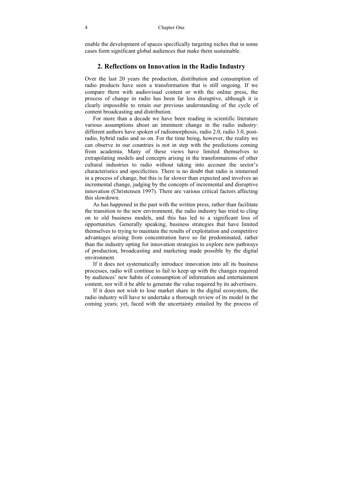enable the development of spaces specifically targeting niches that in some cases form significant global audiences that make them sustainable.

### **2. Reflections on Innovation in the Radio Industry**

Over the last 20 years the production, distribution and consumption of radio products have seen a transformation that is still ongoing. If we compare them with audiovisual content or with the online press, the process of change in radio has been far less disruptive, although it is clearly impossible to retain our previous understanding of the cycle of content broadcasting and distribution.

For more than a decade we have been reading in scientific literature various assumptions about an imminent change in the radio industry: different authors have spoken of radiomorphosis, radio 2.0, radio 3.0, postradio, hybrid radio and so on. For the time being, however, the reality we can observe in our countries is not in step with the predictions coming from academia. Many of these views have limited themselves to extrapolating models and concepts arising in the transformations of other cultural industries to radio without taking into account the sector's characteristics and specificities. There is no doubt that radio is immersed in a process of change, but this is far slower than expected and involves an incremental change, judging by the concepts of incremental and disruptive innovation (Christensen 1997). There are various critical factors affecting this slowdown.

As has happened in the past with the written press, rather than facilitate the transition to the new environment, the radio industry has tried to cling on to old business models, and this has led to a significant loss of opportunities. Generally speaking, business strategies that have limited themselves to trying to maintain the results of exploitation and competitive advantages arising from concentration have so far predominated, rather than the industry opting for innovation strategies to explore new pathways of production, broadcasting and marketing made possible by the digital environment.

If it does not systematically introduce innovation into all its business processes, radio will continue to fail to keep up with the changes required by audiences' new habits of consumption of information and entertainment content, nor will it be able to generate the value required by its advertisers.

If it does not wish to lose market share in the digital ecosystem, the radio industry will have to undertake a thorough review of its model in the coming years; yet, faced with the uncertainty entailed by the process of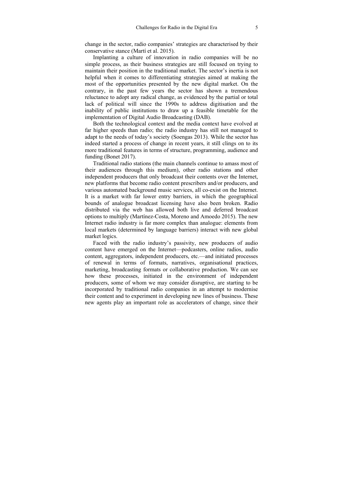change in the sector, radio companies' strategies are characterised by their conservative stance (Martí et al. 2015).

Implanting a culture of innovation in radio companies will be no simple process, as their business strategies are still focused on trying to maintain their position in the traditional market. The sector's inertia is not helpful when it comes to differentiating strategies aimed at making the most of the opportunities presented by the new digital market. On the contrary, in the past few years the sector has shown a tremendous reluctance to adopt any radical change, as evidenced by the partial or total lack of political will since the 1990s to address digitisation and the inability of public institutions to draw up a feasible timetable for the implementation of Digital Audio Broadcasting (DAB).

Both the technological context and the media context have evolved at far higher speeds than radio; the radio industry has still not managed to adapt to the needs of today's society (Soengas 2013). While the sector has indeed started a process of change in recent years, it still clings on to its more traditional features in terms of structure, programming, audience and funding (Bonet 2017).

Traditional radio stations (the main channels continue to amass most of their audiences through this medium), other radio stations and other independent producers that only broadcast their contents over the Internet, new platforms that become radio content prescribers and/or producers, and various automated background music services, all co-exist on the Internet. It is a market with far lower entry barriers, in which the geographical bounds of analogue broadcast licensing have also been broken. Radio distributed via the web has allowed both live and deferred broadcast options to multiply (Martínez-Costa, Moreno and Amoedo 2015). The new Internet radio industry is far more complex than analogue: elements from local markets (determined by language barriers) interact with new global market logics.

Faced with the radio industry's passivity, new producers of audio content have emerged on the Internet—podcasters, online radios, audio content, aggregators, independent producers, etc.—and initiated processes of renewal in terms of formats, narratives, organisational practices, marketing, broadcasting formats or collaborative production. We can see how these processes, initiated in the environment of independent producers, some of whom we may consider disruptive, are starting to be incorporated by traditional radio companies in an attempt to modernise their content and to experiment in developing new lines of business. These new agents play an important role as accelerators of change, since their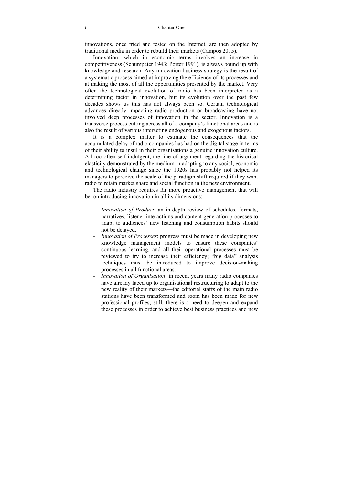innovations, once tried and tested on the Internet, are then adopted by traditional media in order to rebuild their markets (Campos 2015).

Innovation, which in economic terms involves an increase in competitiveness (Schumpeter 1943; Porter 1991), is always bound up with knowledge and research. Any innovation business strategy is the result of a systematic process aimed at improving the efficiency of its processes and at making the most of all the opportunities presented by the market. Very often the technological evolution of radio has been interpreted as a determining factor in innovation, but its evolution over the past few decades shows us this has not always been so. Certain technological advances directly impacting radio production or broadcasting have not involved deep processes of innovation in the sector. Innovation is a transverse process cutting across all of a company's functional areas and is also the result of various interacting endogenous and exogenous factors.

It is a complex matter to estimate the consequences that the accumulated delay of radio companies has had on the digital stage in terms of their ability to instil in their organisations a genuine innovation culture. All too often self-indulgent, the line of argument regarding the historical elasticity demonstrated by the medium in adapting to any social, economic and technological change since the 1920s has probably not helped its managers to perceive the scale of the paradigm shift required if they want radio to retain market share and social function in the new environment.

The radio industry requires far more proactive management that will bet on introducing innovation in all its dimensions:

- *Innovation of Product*: an in-depth review of schedules, formats, narratives, listener interactions and content generation processes to adapt to audiences' new listening and consumption habits should not be delayed.
- *Innovation of Processes*: progress must be made in developing new knowledge management models to ensure these companies' continuous learning, and all their operational processes must be reviewed to try to increase their efficiency; "big data" analysis techniques must be introduced to improve decision-making processes in all functional areas.
- *Innovation of Organisation*: in recent years many radio companies have already faced up to organisational restructuring to adapt to the new reality of their markets—the editorial staffs of the main radio stations have been transformed and room has been made for new professional profiles; still, there is a need to deepen and expand these processes in order to achieve best business practices and new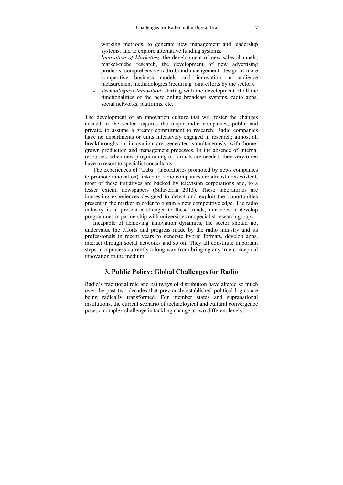working methods, to generate new management and leadership systems, and to explore alternative funding systems.

- *Innovation of Marketing*: the development of new sales channels, market-niche research, the development of new advertising products, comprehensive radio brand management, design of more competitive business models and innovation in audience measurement methodologies (requiring joint efforts by the sector).
- *Technological Innovation*: starting with the development of all the functionalities of the new online broadcast systems, radio apps, social networks, platforms, etc.

The development of an innovation culture that will foster the changes needed in the sector requires the major radio companies, public and private, to assume a greater commitment to research. Radio companies have no departments or units intensively engaged in research; almost all breakthroughs in innovation are generated simultaneously with homegrown production and management processes. In the absence of internal resources, when new programming or formats are needed, they very often have to resort to specialist consultants.

The experiences of "Labs" (laboratories promoted by news companies to promote innovation) linked to radio companies are almost non-existent; most of these initiatives are backed by television corporations and, to a lesser extent, newspapers (Salaverría 2015). These laboratories are interesting experiences designed to detect and exploit the opportunities present in the market in order to obtain a new competitive edge. The radio industry is at present a stranger to these trends, nor does it develop programmes in partnership with universities or specialist research groups.

Incapable of achieving innovation dynamics, the sector should not undervalue the efforts and progress made by the radio industry and its professionals in recent years to generate hybrid formats, develop apps, interact through social networks and so on. They all constitute important steps in a process currently a long way from bringing any true conceptual innovation to the medium.

### **3. Public Policy: Global Challenges for Radio**

Radio's traditional role and pathways of distribution have altered so much over the past two decades that previously-established political logics are being radically transformed. For member states and supranational institutions, the current scenario of technological and cultural convergence poses a complex challenge in tackling change at two different levels.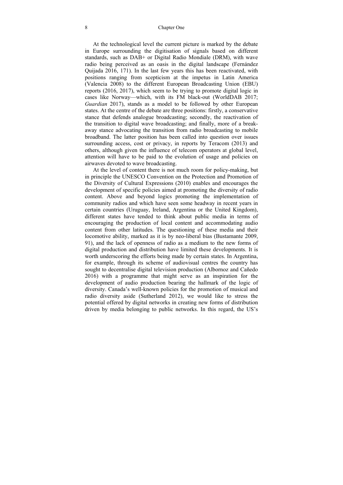At the technological level the current picture is marked by the debate in Europe surrounding the digitisation of signals based on different standards, such as DAB+ or Digital Radio Mondiale (DRM), with wave radio being perceived as an oasis in the digital landscape (Fernández Quijada 2016, 171). In the last few years this has been reactivated, with positions ranging from scepticism at the impetus in Latin America (Valencia 2008) to the different European Broadcasting Union (EBU) reports (2016, 2017), which seem to be trying to promote digital logic in cases like Norway—which, with its FM black-out (WorldDAB 2017; *Guardian* 2017), stands as a model to be followed by other European states. At the centre of the debate are three positions: firstly, a conservative stance that defends analogue broadcasting; secondly, the reactivation of the transition to digital wave broadcasting; and finally, more of a breakaway stance advocating the transition from radio broadcasting to mobile broadband. The latter position has been called into question over issues surrounding access, cost or privacy, in reports by Teracom (2013) and others, although given the influence of telecom operators at global level, attention will have to be paid to the evolution of usage and policies on airwaves devoted to wave broadcasting.

At the level of content there is not much room for policy-making, but in principle the UNESCO Convention on the Protection and Promotion of the Diversity of Cultural Expressions (2010) enables and encourages the development of specific policies aimed at promoting the diversity of radio content. Above and beyond logics promoting the implementation of community radios and which have seen some headway in recent years in certain countries (Uruguay, Ireland, Argentina or the United Kingdom), different states have tended to think about public media in terms of encouraging the production of local content and accommodating audio content from other latitudes. The questioning of these media and their locomotive ability, marked as it is by neo-liberal bias (Bustamante 2009, 91), and the lack of openness of radio as a medium to the new forms of digital production and distribution have limited these developments. It is worth underscoring the efforts being made by certain states. In Argentina, for example, through its scheme of audiovisual centres the country has sought to decentralise digital television production (Albornoz and Cañedo 2016) with a programme that might serve as an inspiration for the development of audio production bearing the hallmark of the logic of diversity. Canada's well-known policies for the promotion of musical and radio diversity aside (Sutherland 2012), we would like to stress the potential offered by digital networks in creating new forms of distribution driven by media belonging to public networks. In this regard, the US's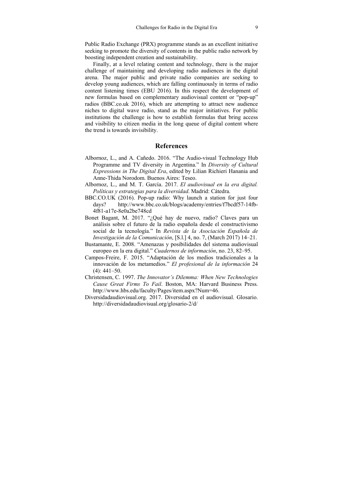Public Radio Exchange (PRX) programme stands as an excellent initiative seeking to promote the diversity of contents in the public radio network by boosting independent creation and sustainability.

Finally, at a level relating content and technology, there is the major challenge of maintaining and developing radio audiences in the digital arena. The major public and private radio companies are seeking to develop young audiences, which are falling continuously in terms of radio content listening times (EBU 2016). In this respect the development of new formulas based on complementary audiovisual content or "pop-up" radios (BBC.co.uk 2016), which are attempting to attract new audience niches to digital wave radio, stand as the major initiatives. For public institutions the challenge is how to establish formulas that bring access and visibility to citizen media in the long queue of digital content where the trend is towards invisibility.

### **References**

- Albornoz, L., and A. Cañedo. 2016. "The Audio-visual Technology Hub Programme and TV diversity in Argentina." In *Diversity of Cultural Expressions in The Digital Era*, edited by Lilian Richieri Hanania and Anne-Thida Norodom. Buenos Aires: Teseo.
- Albornoz, L., and M. T. García. 2017. *El audiovisual en la era digital. Políticas y estrategias para la diversidad*. Madrid: Cátedra.
- BBC.CO.UK (2016). Pop-up radio: Why launch a station for just four days? http://www.bbc.co.uk/blogs/academy/entries/f7bcdf57-14fb-4f81-a17e-8e0a2be748cd
- Bonet Bagant, M. 2017. "¿Qué hay de nuevo, radio? Claves para un análisis sobre el futuro de la radio española desde el constructivismo social de la tecnología." In *Revista de la Asociación Española de Investigación de la Comunicación*, [S.l.] 4, no. 7, (March 2017) 14–21.
- Bustamante, E. 2008. "Amenazas y posibilidades del sistema audiovisual europeo en la era digital." *Cuadernos de información*, no. 23, 82–95.
- Campos-Freire, F. 2015. "Adaptación de los medios tradicionales a la innovación de los metamedios." *El profesional de la información* 24  $(4)$ : 441–50.
- Christensen, C. 1997. *The Innovator's Dilemma: When New Technologies Cause Great Firms To Fail*. Boston, MA: Harvard Business Press. http://www.hbs.edu/faculty/Pages/item.aspx?Num=46.
- Diversidadaudiovisual.org. 2017. Diversidad en el audiovisual. Glosario. http://diversidadaudiovisual.org/glosario-2/d/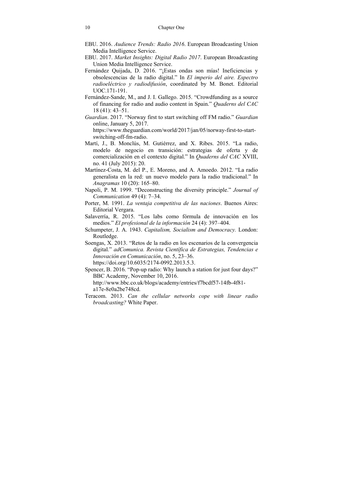- EBU. 2016. *Audience Trends: Radio 2016*. European Broadcasting Union Media Intelligence Service.
- EBU. 2017. *Market Insights: Digital Radio 2017*. European Broadcasting Union Media Intelligence Service.
- Fernández Quijada, D. 2016. "¡Estas ondas son mías! Ineficiencias y obsolescencias de la radio digital." In *El imperio del aire. Espectro radioeléctrico y radiodifusión*, coordinated by M. Bonet. Editorial UOC.171-191.
- Fernández-Sande, M., and J. I. Gallego. 2015. "Crowdfunding as a source of financing for radio and audio content in Spain." *Quaderns del CAC* 18 (41): 43–51.
- *Guardian*. 2017. "Norway first to start switching off FM radio." *Guardian* online, January 5, 2017. https://www.theguardian.com/world/2017/jan/05/norway-first-to-startswitching-off-fm-radio.
- Martí, J., B. Monclús, M. Gutiérrez, and X. Ribes. 2015. "La radio, modelo de negocio en transición: estrategias de oferta y de comercialización en el contexto digital." In *Quaderns del CAC* XVIII, no. 41 (July 2015): 20.
- Martínez-Costa, M. del P., E. Moreno, and A. Amoedo. 2012. "La radio generalista en la red: un nuevo modelo para la radio tradicional." In *Anagramas* 10 (20): 165–80.
- Napoli, P. M. 1999. "Deconstructing the diversity principle." *Journal of Communication* 49 (4): 7–34.
- Porter, M. 1991. *La ventaja competitiva de las naciones*. Buenos Aires: Editorial Vergara.
- Salaverría, R. 2015. "Los labs como fórmula de innovación en los medios." *El profesional de la información* 24 (4): 397–404.
- Schumpeter, J. A. 1943. *Capitalism, Socialism and Democracy.* London: Routledge.
- Soengas, X. 2013. "Retos de la radio en los escenarios de la convergencia digital." *adComunica. Revista Científica de Estrategias, Tendencias e Innovación en Comunicación*, no. 5, 23–36. https://doi.org/10.6035/2174-0992.2013.5.3.
- Spencer, B. 2016. "Pop-up radio: Why launch a station for just four days?" BBC Academy, November 10, 2016. http://www.bbc.co.uk/blogs/academy/entries/f7bcdf57-14fb-4f81 a17e-8e0a2be748cd.
- Teracom. 2013. *Can the cellular networks cope with linear radio broadcasting?* White Paper.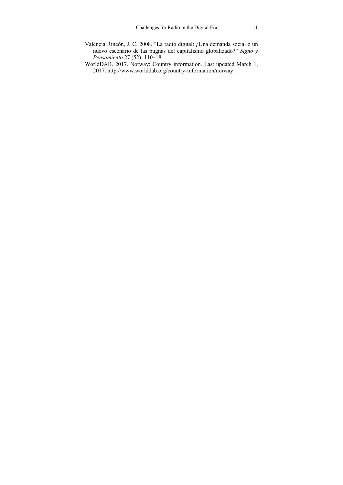- Valencia Rincón, J. C. 2008. "La radio digital: ¿Una demanda social o un nuevo escenario de las pugnas del capitalismo globalizado?" *Signo y Pensamiento* 27 (52): 110–18.
- WorldDAB. 2017. Norway: Country information. Last updated March 1, 2017. http://www.worlddab.org/country-information/norway.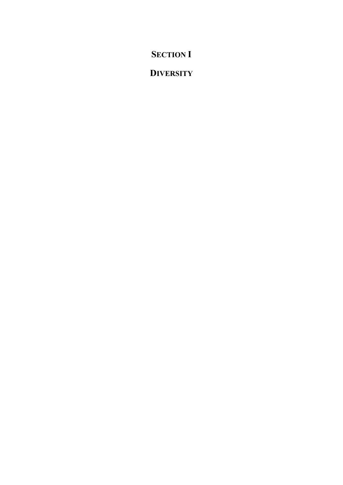# **SECTION I**

# **DIVERSITY**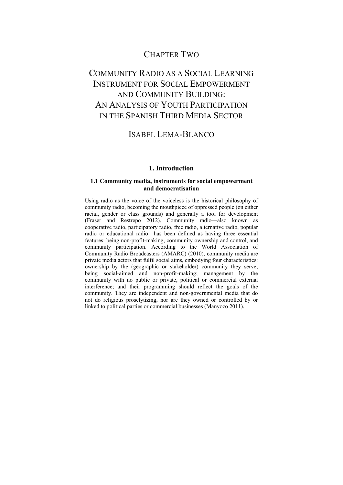### CHAPTER TWO

# COMMUNITY RADIO AS A SOCIAL LEARNING INSTRUMENT FOR SOCIAL EMPOWERMENT AND COMMUNITY BUILDING: AN ANALYSIS OF YOUTH PARTICIPATION IN THE SPANISH THIRD MEDIA SECTOR

### ISABEL LEMA-BLANCO

### **1. Introduction**

### **1.1 Community media, instruments for social empowerment and democratisation**

Using radio as the voice of the voiceless is the historical philosophy of community radio, becoming the mouthpiece of oppressed people (on either racial, gender or class grounds) and generally a tool for development (Fraser and Restrepo 2012). Community radio—also known as cooperative radio, participatory radio, free radio, alternative radio, popular radio or educational radio—has been defined as having three essential features: being non-profit-making, community ownership and control, and community participation. According to the World Association of Community Radio Broadcasters (AMARC) (2010), community media are private media actors that fulfil social aims, embodying four characteristics: ownership by the (geographic or stakeholder) community they serve; being social-aimed and non-profit-making; management by the community with no public or private, political or commercial external interference; and their programming should reflect the goals of the community. They are independent and non-governmental media that do not do religious proselytizing, nor are they owned or controlled by or linked to political parties or commercial businesses (Manyozo 2011).